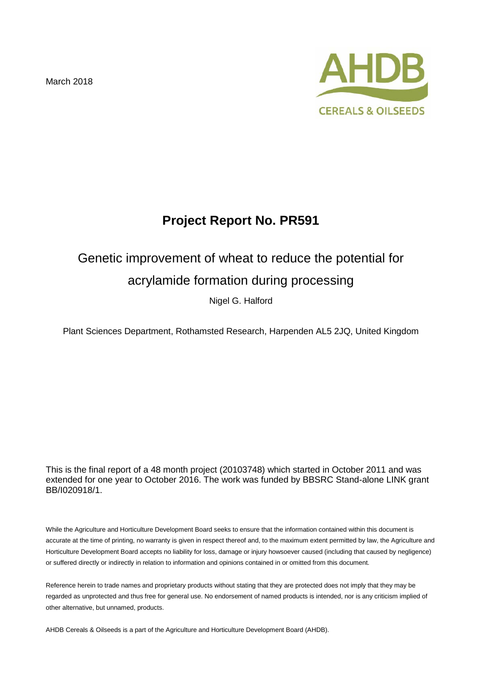March 2018



# **Project Report No. PR591**

# Genetic improvement of wheat to reduce the potential for

## acrylamide formation during processing

Nigel G. Halford

Plant Sciences Department, Rothamsted Research, Harpenden AL5 2JQ, United Kingdom

This is the final report of a 48 month project (20103748) which started in October 2011 and was extended for one year to October 2016. The work was funded by BBSRC Stand-alone LINK grant BB/I020918/1.

While the Agriculture and Horticulture Development Board seeks to ensure that the information contained within this document is accurate at the time of printing, no warranty is given in respect thereof and, to the maximum extent permitted by law, the Agriculture and Horticulture Development Board accepts no liability for loss, damage or injury howsoever caused (including that caused by negligence) or suffered directly or indirectly in relation to information and opinions contained in or omitted from this document.

Reference herein to trade names and proprietary products without stating that they are protected does not imply that they may be regarded as unprotected and thus free for general use. No endorsement of named products is intended, nor is any criticism implied of other alternative, but unnamed, products.

AHDB Cereals & Oilseeds is a part of the Agriculture and Horticulture Development Board (AHDB).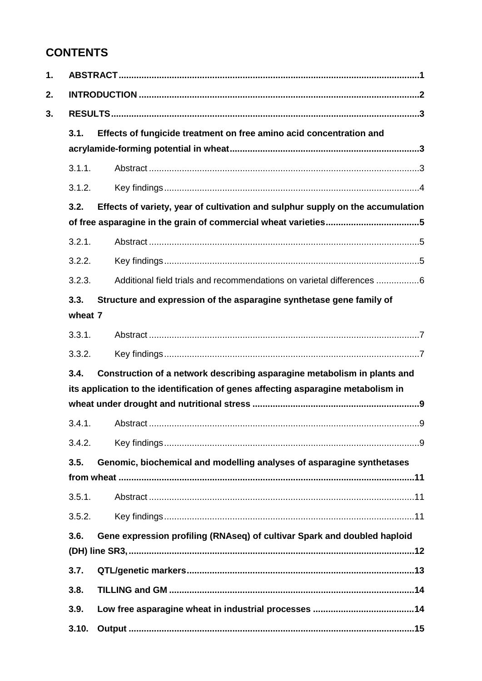# **CONTENTS**

| 1. |                                                                                  |                                                                                   |  |  |  |
|----|----------------------------------------------------------------------------------|-----------------------------------------------------------------------------------|--|--|--|
| 2. |                                                                                  |                                                                                   |  |  |  |
| 3. |                                                                                  |                                                                                   |  |  |  |
|    | 3.1.                                                                             | Effects of fungicide treatment on free amino acid concentration and               |  |  |  |
|    |                                                                                  |                                                                                   |  |  |  |
|    | 3.1.1.                                                                           |                                                                                   |  |  |  |
|    | 3.1.2.                                                                           |                                                                                   |  |  |  |
|    | 3.2.                                                                             | Effects of variety, year of cultivation and sulphur supply on the accumulation    |  |  |  |
|    |                                                                                  |                                                                                   |  |  |  |
|    | 3.2.1.                                                                           |                                                                                   |  |  |  |
|    | 3.2.2.                                                                           |                                                                                   |  |  |  |
|    | 3.2.3.                                                                           | Additional field trials and recommendations on varietal differences 6             |  |  |  |
|    | 3.3.                                                                             | Structure and expression of the asparagine synthetase gene family of              |  |  |  |
|    | wheat 7                                                                          |                                                                                   |  |  |  |
|    | 3.3.1.                                                                           |                                                                                   |  |  |  |
|    | 3.3.2.                                                                           |                                                                                   |  |  |  |
|    | 3.4.<br>Construction of a network describing asparagine metabolism in plants and |                                                                                   |  |  |  |
|    |                                                                                  | its application to the identification of genes affecting asparagine metabolism in |  |  |  |
|    |                                                                                  |                                                                                   |  |  |  |
|    | 3.4.1.                                                                           |                                                                                   |  |  |  |
|    | 3.4.2.                                                                           |                                                                                   |  |  |  |
|    | 3.5.                                                                             | Genomic, biochemical and modelling analyses of asparagine synthetases             |  |  |  |
|    |                                                                                  |                                                                                   |  |  |  |
|    | 3.5.1.                                                                           |                                                                                   |  |  |  |
|    | 3.5.2.                                                                           |                                                                                   |  |  |  |
|    | 3.6.                                                                             | Gene expression profiling (RNAseq) of cultivar Spark and doubled haploid          |  |  |  |
|    |                                                                                  |                                                                                   |  |  |  |
|    | 3.7.                                                                             |                                                                                   |  |  |  |
|    | 3.8.                                                                             |                                                                                   |  |  |  |
|    | 3.9.                                                                             |                                                                                   |  |  |  |
|    | 3.10.                                                                            |                                                                                   |  |  |  |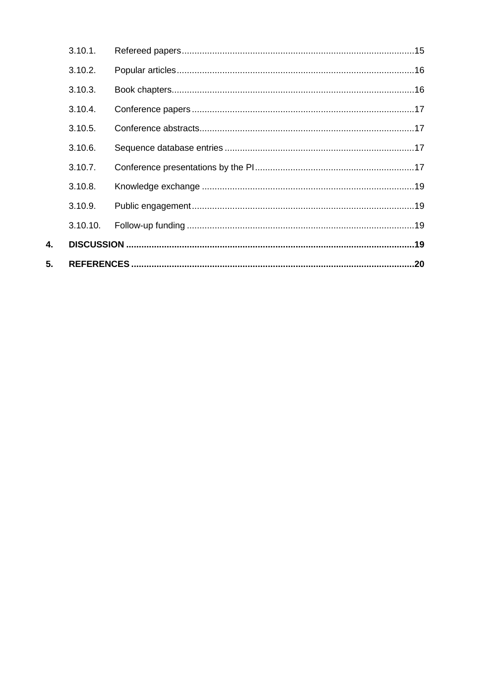| 3.10.10. |  |  |  |  |
|----------|--|--|--|--|
| 3.10.9.  |  |  |  |  |
| 3.10.8.  |  |  |  |  |
| 3.10.7.  |  |  |  |  |
| 3.10.6.  |  |  |  |  |
| 3.10.5.  |  |  |  |  |
| 3.10.4.  |  |  |  |  |
| 3.10.3.  |  |  |  |  |
| 3.10.2.  |  |  |  |  |
| 3.10.1.  |  |  |  |  |

4.

 $5.$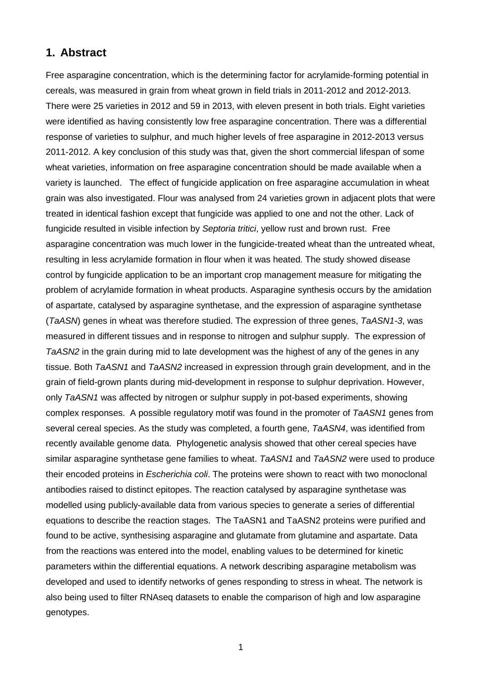### **1. Abstract**

Free asparagine concentration, which is the determining factor for acrylamide-forming potential in cereals, was measured in grain from wheat grown in field trials in 2011-2012 and 2012-2013. There were 25 varieties in 2012 and 59 in 2013, with eleven present in both trials. Eight varieties were identified as having consistently low free asparagine concentration. There was a differential response of varieties to sulphur, and much higher levels of free asparagine in 2012-2013 versus 2011-2012. A key conclusion of this study was that, given the short commercial lifespan of some wheat varieties, information on free asparagine concentration should be made available when a variety is launched. The effect of fungicide application on free asparagine accumulation in wheat grain was also investigated. Flour was analysed from 24 varieties grown in adjacent plots that were treated in identical fashion except that fungicide was applied to one and not the other. Lack of fungicide resulted in visible infection by *Septoria tritici*, yellow rust and brown rust. Free asparagine concentration was much lower in the fungicide-treated wheat than the untreated wheat, resulting in less acrylamide formation in flour when it was heated. The study showed disease control by fungicide application to be an important crop management measure for mitigating the problem of acrylamide formation in wheat products. Asparagine synthesis occurs by the amidation of aspartate, catalysed by asparagine synthetase, and the expression of asparagine synthetase (*TaASN*) genes in wheat was therefore studied. The expression of three genes, *TaASN1-3*, was measured in different tissues and in response to nitrogen and sulphur supply. The expression of *TaASN2* in the grain during mid to late development was the highest of any of the genes in any tissue. Both *TaASN1* and *TaASN2* increased in expression through grain development, and in the grain of field-grown plants during mid-development in response to sulphur deprivation. However, only *TaASN1* was affected by nitrogen or sulphur supply in pot-based experiments, showing complex responses. A possible regulatory motif was found in the promoter of *TaASN1* genes from several cereal species. As the study was completed, a fourth gene, *TaASN4*, was identified from recently available genome data. Phylogenetic analysis showed that other cereal species have similar asparagine synthetase gene families to wheat. *TaASN1* and *TaASN2* were used to produce their encoded proteins in *Escherichia coli*. The proteins were shown to react with two monoclonal antibodies raised to distinct epitopes. The reaction catalysed by asparagine synthetase was modelled using publicly-available data from various species to generate a series of differential equations to describe the reaction stages. The TaASN1 and TaASN2 proteins were purified and found to be active, synthesising asparagine and glutamate from glutamine and aspartate. Data from the reactions was entered into the model, enabling values to be determined for kinetic parameters within the differential equations. A network describing asparagine metabolism was developed and used to identify networks of genes responding to stress in wheat. The network is also being used to filter RNAseq datasets to enable the comparison of high and low asparagine genotypes.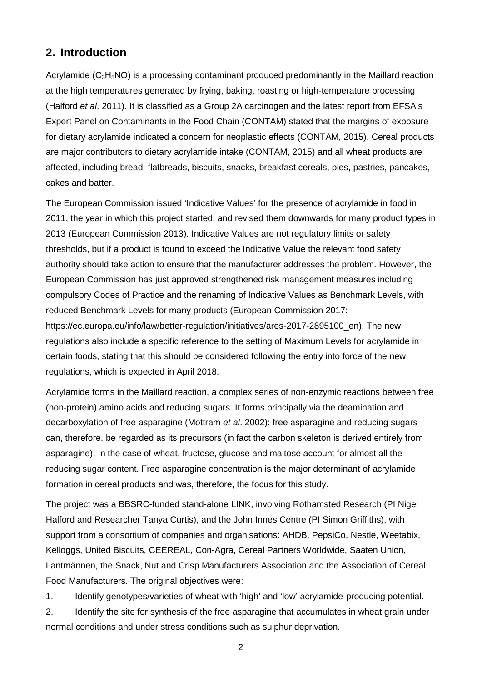### **2. Introduction**

Acrylamide ( $C_3H_5NO$ ) is a processing contaminant produced predominantly in the Maillard reaction at the high temperatures generated by frying, baking, roasting or high-temperature processing (Halford *et al*. 2011). It is classified as a Group 2A carcinogen and the latest report from EFSA's Expert Panel on Contaminants in the Food Chain (CONTAM) stated that the margins of exposure for dietary acrylamide indicated a concern for neoplastic effects (CONTAM, 2015). Cereal products are major contributors to dietary acrylamide intake (CONTAM, 2015) and all wheat products are affected, including bread, flatbreads, biscuits, snacks, breakfast cereals, pies, pastries, pancakes, cakes and batter.

The European Commission issued 'Indicative Values' for the presence of acrylamide in food in 2011, the year in which this project started, and revised them downwards for many product types in 2013 (European Commission 2013). Indicative Values are not regulatory limits or safety thresholds, but if a product is found to exceed the Indicative Value the relevant food safety authority should take action to ensure that the manufacturer addresses the problem. However, the European Commission has just approved strengthened risk management measures including compulsory Codes of Practice and the renaming of Indicative Values as Benchmark Levels, with reduced Benchmark Levels for many products (European Commission 2017: https://ec.europa.eu/info/law/better-regulation/initiatives/ares-2017-2895100\_en). The new regulations also include a specific reference to the setting of Maximum Levels for acrylamide in certain foods, stating that this should be considered following the entry into force of the new regulations, which is expected in April 2018.

Acrylamide forms in the Maillard reaction, a complex series of non-enzymic reactions between free (non-protein) amino acids and reducing sugars. It forms principally via the deamination and decarboxylation of free asparagine (Mottram *et al*. 2002): free asparagine and reducing sugars can, therefore, be regarded as its precursors (in fact the carbon skeleton is derived entirely from asparagine). In the case of wheat, fructose, glucose and maltose account for almost all the reducing sugar content. Free asparagine concentration is the major determinant of acrylamide formation in cereal products and was, therefore, the focus for this study.

The project was a BBSRC-funded stand-alone LINK, involving Rothamsted Research (PI Nigel Halford and Researcher Tanya Curtis), and the John Innes Centre (PI Simon Griffiths), with support from a consortium of companies and organisations: AHDB, PepsiCo, Nestle, Weetabix, Kelloggs, United Biscuits, CEEREAL, Con-Agra, Cereal Partners Worldwide, Saaten Union, Lantmännen, the Snack, Nut and Crisp Manufacturers Association and the Association of Cereal Food Manufacturers. The original objectives were:

1. Identify genotypes/varieties of wheat with 'high' and 'low' acrylamide-producing potential.

2. Identify the site for synthesis of the free asparagine that accumulates in wheat grain under normal conditions and under stress conditions such as sulphur deprivation.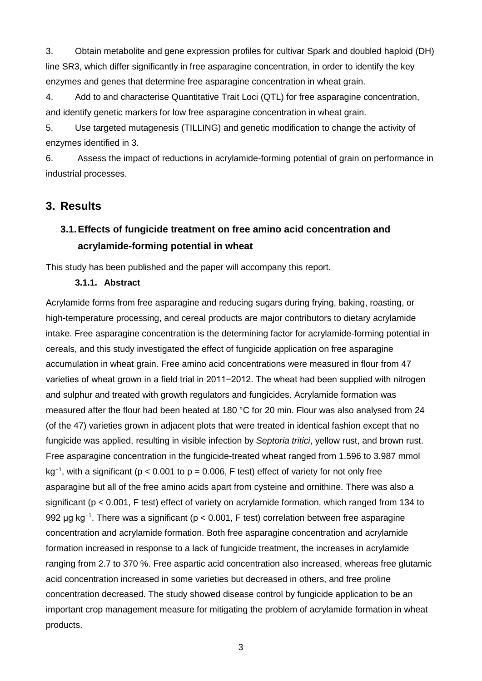3. Obtain metabolite and gene expression profiles for cultivar Spark and doubled haploid (DH) line SR3, which differ significantly in free asparagine concentration, in order to identify the key enzymes and genes that determine free asparagine concentration in wheat grain.

4. Add to and characterise Quantitative Trait Loci (QTL) for free asparagine concentration, and identify genetic markers for low free asparagine concentration in wheat grain.

5. Use targeted mutagenesis (TILLING) and genetic modification to change the activity of enzymes identified in 3.

6. Assess the impact of reductions in acrylamide-forming potential of grain on performance in industrial processes.

### **3. Results**

## **3.1.Effects of fungicide treatment on free amino acid concentration and acrylamide-forming potential in wheat**

This study has been published and the paper will accompany this report.

### **3.1.1. Abstract**

Acrylamide forms from free asparagine and reducing sugars during frying, baking, roasting, or high-temperature processing, and cereal products are major contributors to dietary acrylamide intake. Free asparagine concentration is the determining factor for acrylamide-forming potential in cereals, and this study investigated the effect of fungicide application on free asparagine accumulation in wheat grain. Free amino acid concentrations were measured in flour from 47 varieties of wheat grown in a field trial in 2011−2012. The wheat had been supplied with nitrogen and sulphur and treated with growth regulators and fungicides. Acrylamide formation was measured after the flour had been heated at 180 °C for 20 min. Flour was also analysed from 24 (of the 47) varieties grown in adjacent plots that were treated in identical fashion except that no fungicide was applied, resulting in visible infection by *Septoria tritici*, yellow rust, and brown rust. Free asparagine concentration in the fungicide-treated wheat ranged from 1.596 to 3.987 mmol kg<sup>−</sup><sup>1</sup> , with a significant (p < 0.001 to p = 0.006, F test) effect of variety for not only free asparagine but all of the free amino acids apart from cysteine and ornithine. There was also a significant (p < 0.001, F test) effect of variety on acrylamide formation, which ranged from 134 to 992 µg kg<sup>-1</sup>. There was a significant (p < 0.001, F test) correlation between free asparagine concentration and acrylamide formation. Both free asparagine concentration and acrylamide formation increased in response to a lack of fungicide treatment, the increases in acrylamide ranging from 2.7 to 370 %. Free aspartic acid concentration also increased, whereas free glutamic acid concentration increased in some varieties but decreased in others, and free proline concentration decreased. The study showed disease control by fungicide application to be an important crop management measure for mitigating the problem of acrylamide formation in wheat products.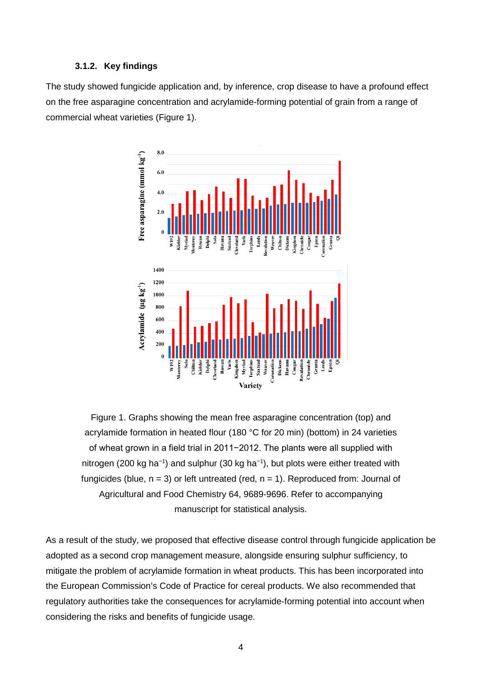#### **3.1.2. Key findings**

The study showed fungicide application and, by inference, crop disease to have a profound effect on the free asparagine concentration and acrylamide-forming potential of grain from a range of commercial wheat varieties (Figure 1).



Figure 1. Graphs showing the mean free asparagine concentration (top) and acrylamide formation in heated flour (180 °C for 20 min) (bottom) in 24 varieties of wheat grown in a field trial in 2011−2012. The plants were all supplied with nitrogen (200 kg ha<sup>-1</sup>) and sulphur (30 kg ha<sup>-1</sup>), but plots were either treated with fungicides (blue,  $n = 3$ ) or left untreated (red,  $n = 1$ ). Reproduced from: Journal of Agricultural and Food Chemistry 64, 9689-9696. Refer to accompanying manuscript for statistical analysis.

As a result of the study, we proposed that effective disease control through fungicide application be adopted as a second crop management measure, alongside ensuring sulphur sufficiency, to mitigate the problem of acrylamide formation in wheat products. This has been incorporated into the European Commission's Code of Practice for cereal products. We also recommended that regulatory authorities take the consequences for acrylamide-forming potential into account when considering the risks and benefits of fungicide usage.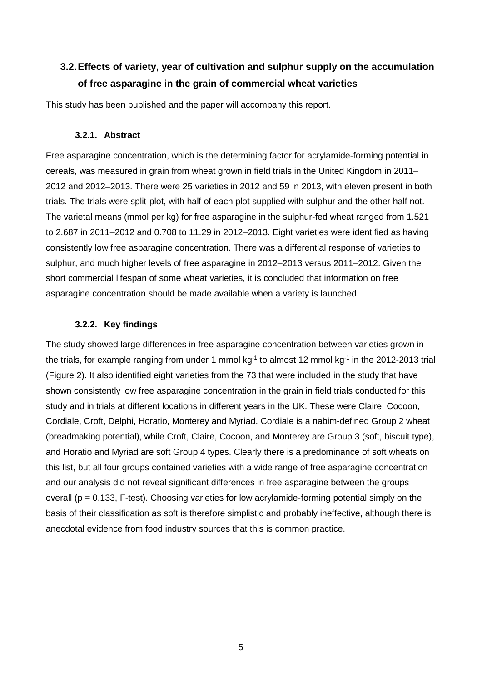## **3.2.Effects of variety, year of cultivation and sulphur supply on the accumulation of free asparagine in the grain of commercial wheat varieties**

This study has been published and the paper will accompany this report.

### **3.2.1. Abstract**

Free asparagine concentration, which is the determining factor for acrylamide-forming potential in cereals, was measured in grain from wheat grown in field trials in the United Kingdom in 2011– 2012 and 2012–2013. There were 25 varieties in 2012 and 59 in 2013, with eleven present in both trials. The trials were split-plot, with half of each plot supplied with sulphur and the other half not. The varietal means (mmol per kg) for free asparagine in the sulphur-fed wheat ranged from 1.521 to 2.687 in 2011–2012 and 0.708 to 11.29 in 2012–2013. Eight varieties were identified as having consistently low free asparagine concentration. There was a differential response of varieties to sulphur, and much higher levels of free asparagine in 2012–2013 versus 2011–2012. Given the short commercial lifespan of some wheat varieties, it is concluded that information on free asparagine concentration should be made available when a variety is launched.

### **3.2.2. Key findings**

The study showed large differences in free asparagine concentration between varieties grown in the trials, for example ranging from under 1 mmol  $kg<sup>-1</sup>$  to almost 12 mmol  $kg<sup>-1</sup>$  in the 2012-2013 trial (Figure 2). It also identified eight varieties from the 73 that were included in the study that have shown consistently low free asparagine concentration in the grain in field trials conducted for this study and in trials at different locations in different years in the UK. These were Claire, Cocoon, Cordiale, Croft, Delphi, Horatio, Monterey and Myriad. Cordiale is a nabim-defined Group 2 wheat (breadmaking potential), while Croft, Claire, Cocoon, and Monterey are Group 3 (soft, biscuit type), and Horatio and Myriad are soft Group 4 types. Clearly there is a predominance of soft wheats on this list, but all four groups contained varieties with a wide range of free asparagine concentration and our analysis did not reveal significant differences in free asparagine between the groups overall ( $p = 0.133$ , F-test). Choosing varieties for low acrylamide-forming potential simply on the basis of their classification as soft is therefore simplistic and probably ineffective, although there is anecdotal evidence from food industry sources that this is common practice.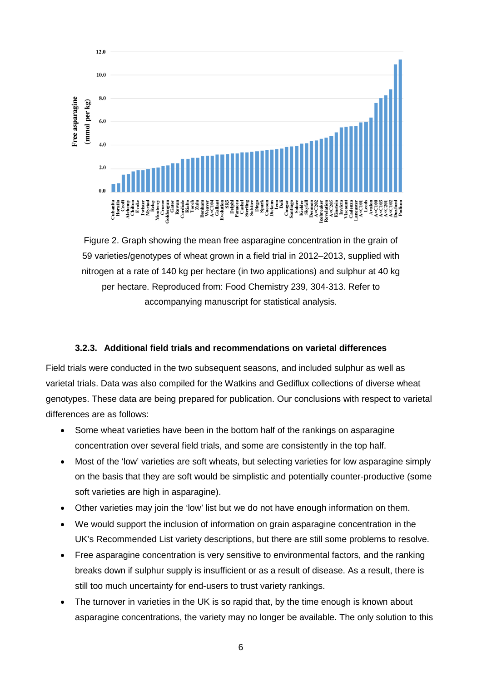

Figure 2. Graph showing the mean free asparagine concentration in the grain of 59 varieties/genotypes of wheat grown in a field trial in 2012–2013, supplied with nitrogen at a rate of 140 kg per hectare (in two applications) and sulphur at 40 kg per hectare. Reproduced from: Food Chemistry 239, 304-313. Refer to accompanying manuscript for statistical analysis.

### **3.2.3. Additional field trials and recommendations on varietal differences**

Field trials were conducted in the two subsequent seasons, and included sulphur as well as varietal trials. Data was also compiled for the Watkins and Gediflux collections of diverse wheat genotypes. These data are being prepared for publication. Our conclusions with respect to varietal differences are as follows:

- Some wheat varieties have been in the bottom half of the rankings on asparagine concentration over several field trials, and some are consistently in the top half.
- Most of the 'low' varieties are soft wheats, but selecting varieties for low asparagine simply on the basis that they are soft would be simplistic and potentially counter-productive (some soft varieties are high in asparagine).
- Other varieties may join the 'low' list but we do not have enough information on them.
- We would support the inclusion of information on grain asparagine concentration in the UK's Recommended List variety descriptions, but there are still some problems to resolve.
- Free asparagine concentration is very sensitive to environmental factors, and the ranking breaks down if sulphur supply is insufficient or as a result of disease. As a result, there is still too much uncertainty for end-users to trust variety rankings.
- The turnover in varieties in the UK is so rapid that, by the time enough is known about asparagine concentrations, the variety may no longer be available. The only solution to this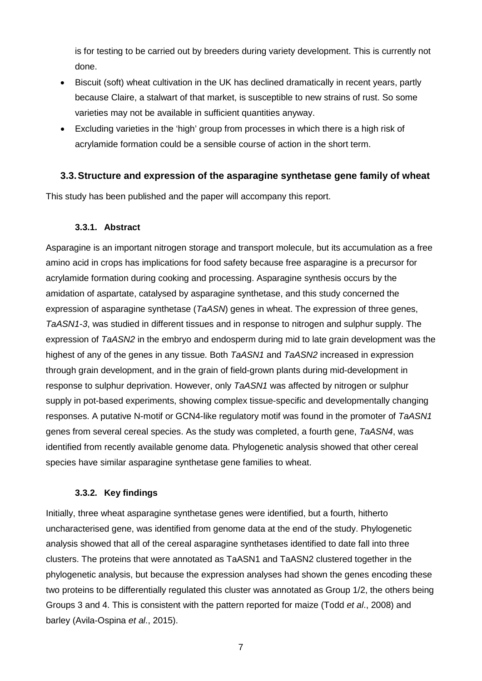is for testing to be carried out by breeders during variety development. This is currently not done.

- Biscuit (soft) wheat cultivation in the UK has declined dramatically in recent years, partly because Claire, a stalwart of that market, is susceptible to new strains of rust. So some varieties may not be available in sufficient quantities anyway.
- Excluding varieties in the 'high' group from processes in which there is a high risk of acrylamide formation could be a sensible course of action in the short term.

### **3.3.Structure and expression of the asparagine synthetase gene family of wheat**

This study has been published and the paper will accompany this report.

### **3.3.1. Abstract**

Asparagine is an important nitrogen storage and transport molecule, but its accumulation as a free amino acid in crops has implications for food safety because free asparagine is a precursor for acrylamide formation during cooking and processing. Asparagine synthesis occurs by the amidation of aspartate, catalysed by asparagine synthetase, and this study concerned the expression of asparagine synthetase (*TaASN*) genes in wheat. The expression of three genes, *TaASN1-3*, was studied in different tissues and in response to nitrogen and sulphur supply. The expression of *TaASN2* in the embryo and endosperm during mid to late grain development was the highest of any of the genes in any tissue. Both *TaASN1* and *TaASN2* increased in expression through grain development, and in the grain of field-grown plants during mid-development in response to sulphur deprivation. However, only *TaASN1* was affected by nitrogen or sulphur supply in pot-based experiments, showing complex tissue-specific and developmentally changing responses. A putative N-motif or GCN4-like regulatory motif was found in the promoter of *TaASN1* genes from several cereal species. As the study was completed, a fourth gene, *TaASN4*, was identified from recently available genome data. Phylogenetic analysis showed that other cereal species have similar asparagine synthetase gene families to wheat.

### **3.3.2. Key findings**

Initially, three wheat asparagine synthetase genes were identified, but a fourth, hitherto uncharacterised gene, was identified from genome data at the end of the study. Phylogenetic analysis showed that all of the cereal asparagine synthetases identified to date fall into three clusters. The proteins that were annotated as TaASN1 and TaASN2 clustered together in the phylogenetic analysis, but because the expression analyses had shown the genes encoding these two proteins to be differentially regulated this cluster was annotated as Group 1/2, the others being Groups 3 and 4. This is consistent with the pattern reported for maize (Todd *et al*., 2008) and barley (Avila-Ospina *et al*., 2015).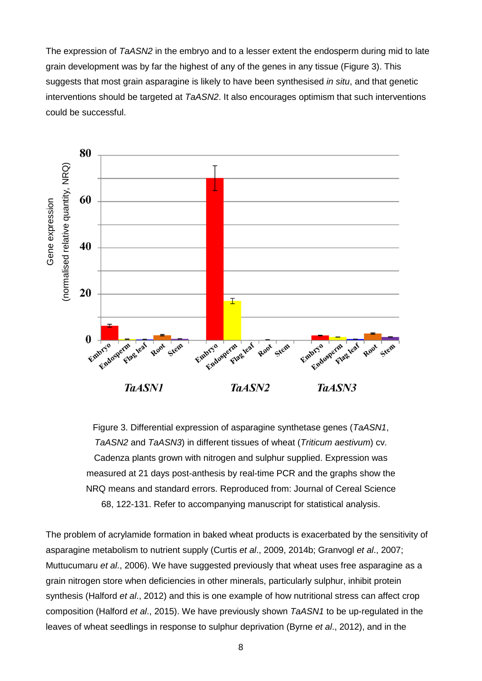The expression of *TaASN2* in the embryo and to a lesser extent the endosperm during mid to late grain development was by far the highest of any of the genes in any tissue (Figure 3). This suggests that most grain asparagine is likely to have been synthesised *in situ*, and that genetic interventions should be targeted at *TaASN2*. It also encourages optimism that such interventions could be successful.



Figure 3. Differential expression of asparagine synthetase genes (*TaASN1*, *TaASN2* and *TaASN3*) in different tissues of wheat (*Triticum aestivum*) cv. Cadenza plants grown with nitrogen and sulphur supplied. Expression was measured at 21 days post-anthesis by real-time PCR and the graphs show the NRQ means and standard errors. Reproduced from: Journal of Cereal Science 68, 122-131. Refer to accompanying manuscript for statistical analysis.

The problem of acrylamide formation in baked wheat products is exacerbated by the sensitivity of asparagine metabolism to nutrient supply (Curtis *et al*., 2009, 2014b; Granvogl *et al*., 2007; Muttucumaru *et al*., 2006). We have suggested previously that wheat uses free asparagine as a grain nitrogen store when deficiencies in other minerals, particularly sulphur, inhibit protein synthesis (Halford *et al*., 2012) and this is one example of how nutritional stress can affect crop composition (Halford *et al*., 2015). We have previously shown *TaASN1* to be up-regulated in the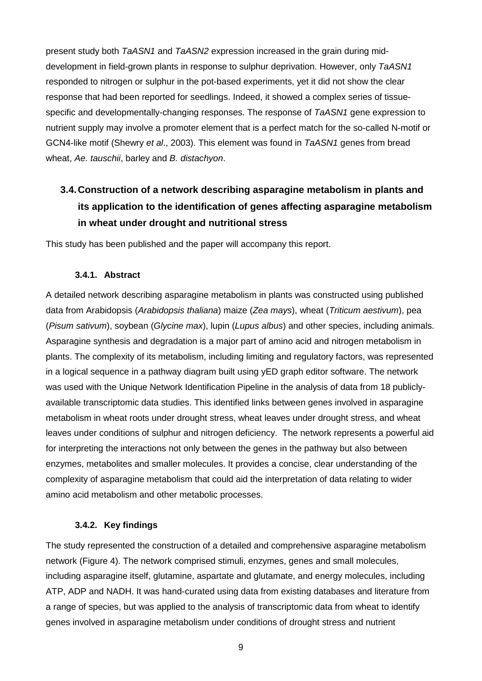present study both *TaASN1* and *TaASN2* expression increased in the grain during middevelopment in field-grown plants in response to sulphur deprivation. However, only *TaASN1* responded to nitrogen or sulphur in the pot-based experiments, yet it did not show the clear response that had been reported for seedlings. Indeed, it showed a complex series of tissuespecific and developmentally-changing responses. The response of *TaASN1* gene expression to nutrient supply may involve a promoter element that is a perfect match for the so-called N-motif or GCN4-like motif (Shewry *et al*., 2003). This element was found in *TaASN1* genes from bread wheat, *Ae. tauschii*, barley and *B. distachyon*.

# **3.4.Construction of a network describing asparagine metabolism in plants and its application to the identification of genes affecting asparagine metabolism in wheat under drought and nutritional stress**

This study has been published and the paper will accompany this report.

### **3.4.1. Abstract**

A detailed network describing asparagine metabolism in plants was constructed using published data from Arabidopsis (*Arabidopsis thaliana*) maize (*Zea mays*), wheat (*Triticum aestivum*), pea (*Pisum sativum*), soybean (*Glycine max*), lupin (*Lupus albus*) and other species, including animals. Asparagine synthesis and degradation is a major part of amino acid and nitrogen metabolism in plants. The complexity of its metabolism, including limiting and regulatory factors, was represented in a logical sequence in a pathway diagram built using yED graph editor software. The network was used with the Unique Network Identification Pipeline in the analysis of data from 18 publiclyavailable transcriptomic data studies. This identified links between genes involved in asparagine metabolism in wheat roots under drought stress, wheat leaves under drought stress, and wheat leaves under conditions of sulphur and nitrogen deficiency. The network represents a powerful aid for interpreting the interactions not only between the genes in the pathway but also between enzymes, metabolites and smaller molecules. It provides a concise, clear understanding of the complexity of asparagine metabolism that could aid the interpretation of data relating to wider amino acid metabolism and other metabolic processes.

### **3.4.2. Key findings**

The study represented the construction of a detailed and comprehensive asparagine metabolism network (Figure 4). The network comprised stimuli, enzymes, genes and small molecules, including asparagine itself, glutamine, aspartate and glutamate, and energy molecules, including ATP, ADP and NADH. It was hand-curated using data from existing databases and literature from a range of species, but was applied to the analysis of transcriptomic data from wheat to identify genes involved in asparagine metabolism under conditions of drought stress and nutrient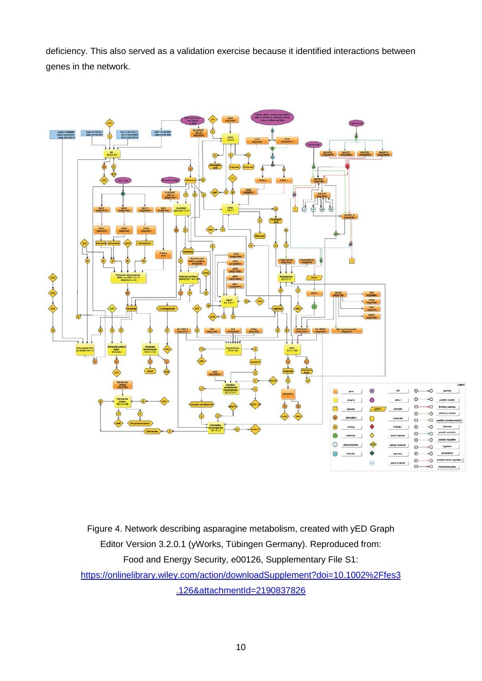deficiency. This also served as a validation exercise because it identified interactions between genes in the network.



Figure 4. Network describing asparagine metabolism, created with yED Graph Editor Version 3.2.0.1 (yWorks, Tübingen Germany). Reproduced from: Food and Energy Security, e00126, Supplementary File S1: [https://onlinelibrary.wiley.com/action/downloadSupplement?doi=10.1002%2Ffes3](https://onlinelibrary.wiley.com/action/downloadSupplement?doi=10.1002%2Ffes3.126&attachmentId=2190837826) [.126&attachmentId=2190837826](https://onlinelibrary.wiley.com/action/downloadSupplement?doi=10.1002%2Ffes3.126&attachmentId=2190837826)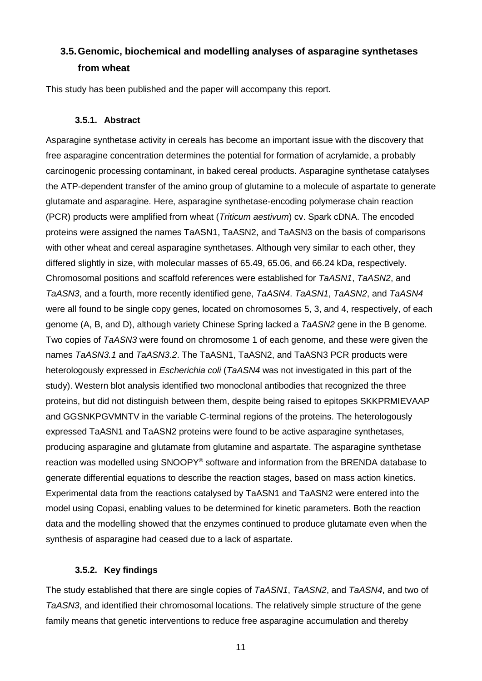# **3.5.Genomic, biochemical and modelling analyses of asparagine synthetases from wheat**

This study has been published and the paper will accompany this report.

#### **3.5.1. Abstract**

Asparagine synthetase activity in cereals has become an important issue with the discovery that free asparagine concentration determines the potential for formation of acrylamide, a probably carcinogenic processing contaminant, in baked cereal products. Asparagine synthetase catalyses the ATP-dependent transfer of the amino group of glutamine to a molecule of aspartate to generate glutamate and asparagine. Here, asparagine synthetase-encoding polymerase chain reaction (PCR) products were amplified from wheat (*Triticum aestivum*) cv. Spark cDNA. The encoded proteins were assigned the names TaASN1, TaASN2, and TaASN3 on the basis of comparisons with other wheat and cereal asparagine synthetases. Although very similar to each other, they differed slightly in size, with molecular masses of 65.49, 65.06, and 66.24 kDa, respectively. Chromosomal positions and scaffold references were established for *TaASN1*, *TaASN2*, and *TaASN3*, and a fourth, more recently identified gene, *TaASN4*. *TaASN1*, *TaASN2*, and *TaASN4* were all found to be single copy genes, located on chromosomes 5, 3, and 4, respectively, of each genome (A, B, and D), although variety Chinese Spring lacked a *TaASN2* gene in the B genome. Two copies of *TaASN3* were found on chromosome 1 of each genome, and these were given the names *TaASN3.1* and *TaASN3.2*. The TaASN1, TaASN2, and TaASN3 PCR products were heterologously expressed in *Escherichia coli* (*TaASN4* was not investigated in this part of the study). Western blot analysis identified two monoclonal antibodies that recognized the three proteins, but did not distinguish between them, despite being raised to epitopes SKKPRMIEVAAP and GGSNKPGVMNTV in the variable C-terminal regions of the proteins. The heterologously expressed TaASN1 and TaASN2 proteins were found to be active asparagine synthetases, producing asparagine and glutamate from glutamine and aspartate. The asparagine synthetase reaction was modelled using SNOOPY® software and information from the BRENDA database to generate differential equations to describe the reaction stages, based on mass action kinetics. Experimental data from the reactions catalysed by TaASN1 and TaASN2 were entered into the model using Copasi, enabling values to be determined for kinetic parameters. Both the reaction data and the modelling showed that the enzymes continued to produce glutamate even when the synthesis of asparagine had ceased due to a lack of aspartate.

### **3.5.2. Key findings**

The study established that there are single copies of *TaASN1*, *TaASN2*, and *TaASN4*, and two of *TaASN3*, and identified their chromosomal locations. The relatively simple structure of the gene family means that genetic interventions to reduce free asparagine accumulation and thereby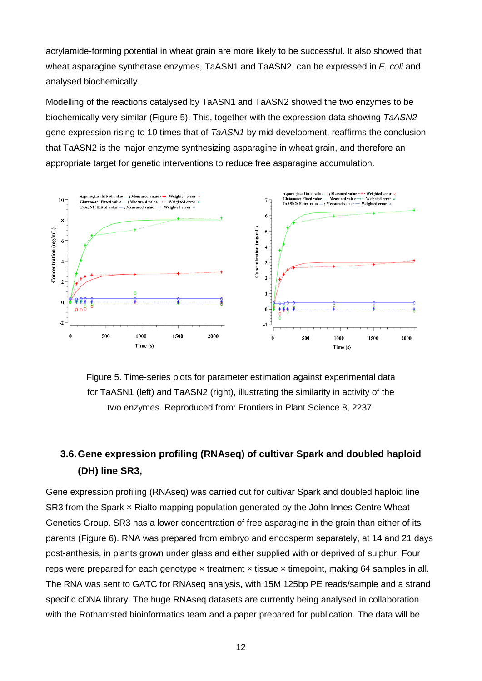acrylamide-forming potential in wheat grain are more likely to be successful. It also showed that wheat asparagine synthetase enzymes, TaASN1 and TaASN2, can be expressed in *E. coli* and analysed biochemically.

Modelling of the reactions catalysed by TaASN1 and TaASN2 showed the two enzymes to be biochemically very similar (Figure 5). This, together with the expression data showing *TaASN2* gene expression rising to 10 times that of *TaASN1* by mid-development, reaffirms the conclusion that TaASN2 is the major enzyme synthesizing asparagine in wheat grain, and therefore an appropriate target for genetic interventions to reduce free asparagine accumulation.



Figure 5. Time-series plots for parameter estimation against experimental data for TaASN1 (left) and TaASN2 (right), illustrating the similarity in activity of the two enzymes. Reproduced from: Frontiers in Plant Science 8, 2237.

# **3.6.Gene expression profiling (RNAseq) of cultivar Spark and doubled haploid (DH) line SR3,**

Gene expression profiling (RNAseq) was carried out for cultivar Spark and doubled haploid line SR3 from the Spark × Rialto mapping population generated by the John Innes Centre Wheat Genetics Group. SR3 has a lower concentration of free asparagine in the grain than either of its parents (Figure 6). RNA was prepared from embryo and endosperm separately, at 14 and 21 days post-anthesis, in plants grown under glass and either supplied with or deprived of sulphur. Four reps were prepared for each genotype  $\times$  treatment  $\times$  tissue  $\times$  timepoint, making 64 samples in all. The RNA was sent to GATC for RNAseq analysis, with 15M 125bp PE reads/sample and a strand specific cDNA library. The huge RNAseq datasets are currently being analysed in collaboration with the Rothamsted bioinformatics team and a paper prepared for publication. The data will be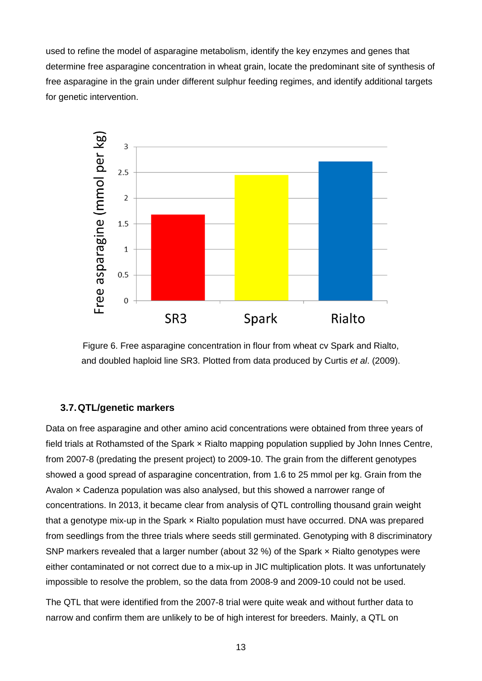used to refine the model of asparagine metabolism, identify the key enzymes and genes that determine free asparagine concentration in wheat grain, locate the predominant site of synthesis of free asparagine in the grain under different sulphur feeding regimes, and identify additional targets for genetic intervention.



Figure 6. Free asparagine concentration in flour from wheat cv Spark and Rialto, and doubled haploid line SR3. Plotted from data produced by Curtis *et al*. (2009).

### **3.7.QTL/genetic markers**

Data on free asparagine and other amino acid concentrations were obtained from three years of field trials at Rothamsted of the Spark x Rialto mapping population supplied by John Innes Centre, from 2007-8 (predating the present project) to 2009-10. The grain from the different genotypes showed a good spread of asparagine concentration, from 1.6 to 25 mmol per kg. Grain from the Avalon  $\times$  Cadenza population was also analysed, but this showed a narrower range of concentrations. In 2013, it became clear from analysis of QTL controlling thousand grain weight that a genotype mix-up in the Spark × Rialto population must have occurred. DNA was prepared from seedlings from the three trials where seeds still germinated. Genotyping with 8 discriminatory SNP markers revealed that a larger number (about 32 %) of the Spark × Rialto genotypes were either contaminated or not correct due to a mix-up in JIC multiplication plots. It was unfortunately impossible to resolve the problem, so the data from 2008-9 and 2009-10 could not be used.

The QTL that were identified from the 2007-8 trial were quite weak and without further data to narrow and confirm them are unlikely to be of high interest for breeders. Mainly, a QTL on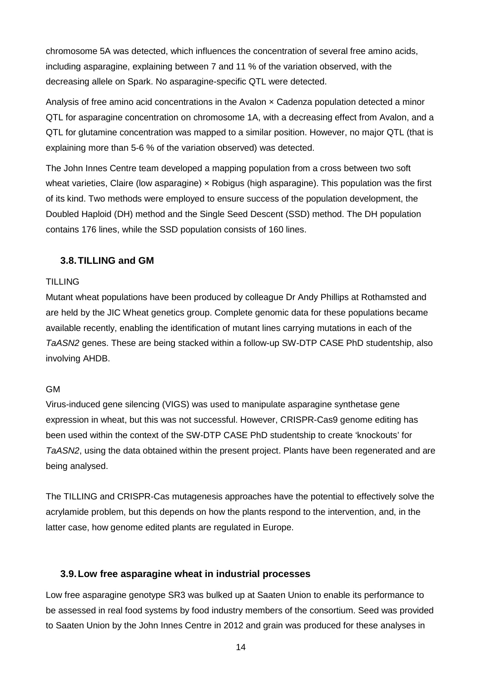chromosome 5A was detected, which influences the concentration of several free amino acids, including asparagine, explaining between 7 and 11 % of the variation observed, with the decreasing allele on Spark. No asparagine-specific QTL were detected.

Analysis of free amino acid concentrations in the Avalon x Cadenza population detected a minor QTL for asparagine concentration on chromosome 1A, with a decreasing effect from Avalon, and a QTL for glutamine concentration was mapped to a similar position. However, no major QTL (that is explaining more than 5-6 % of the variation observed) was detected.

The John Innes Centre team developed a mapping population from a cross between two soft wheat varieties, Claire (low asparagine) x Robigus (high asparagine). This population was the first of its kind. Two methods were employed to ensure success of the population development, the Doubled Haploid (DH) method and the Single Seed Descent (SSD) method. The DH population contains 176 lines, while the SSD population consists of 160 lines.

### **3.8.TILLING and GM**

#### TILLING

Mutant wheat populations have been produced by colleague Dr Andy Phillips at Rothamsted and are held by the JIC Wheat genetics group. Complete genomic data for these populations became available recently, enabling the identification of mutant lines carrying mutations in each of the *TaASN2* genes. These are being stacked within a follow-up SW-DTP CASE PhD studentship, also involving AHDB.

### GM

Virus-induced gene silencing (VIGS) was used to manipulate asparagine synthetase gene expression in wheat, but this was not successful. However, CRISPR-Cas9 genome editing has been used within the context of the SW-DTP CASE PhD studentship to create 'knockouts' for *TaASN2*, using the data obtained within the present project. Plants have been regenerated and are being analysed.

The TILLING and CRISPR-Cas mutagenesis approaches have the potential to effectively solve the acrylamide problem, but this depends on how the plants respond to the intervention, and, in the latter case, how genome edited plants are regulated in Europe.

### **3.9.Low free asparagine wheat in industrial processes**

Low free asparagine genotype SR3 was bulked up at Saaten Union to enable its performance to be assessed in real food systems by food industry members of the consortium. Seed was provided to Saaten Union by the John Innes Centre in 2012 and grain was produced for these analyses in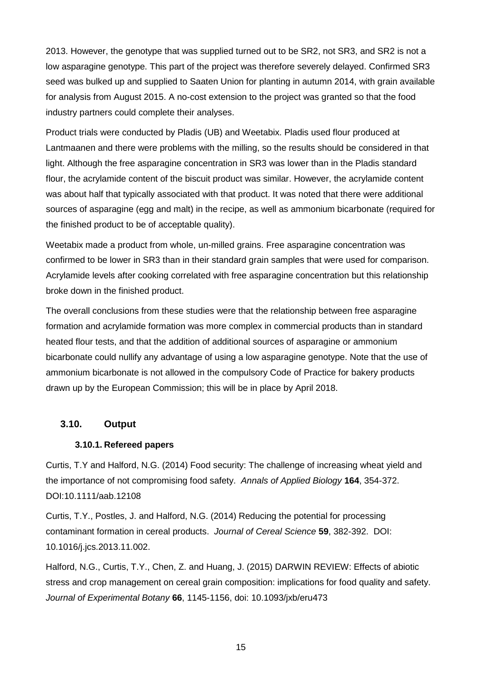2013. However, the genotype that was supplied turned out to be SR2, not SR3, and SR2 is not a low asparagine genotype. This part of the project was therefore severely delayed. Confirmed SR3 seed was bulked up and supplied to Saaten Union for planting in autumn 2014, with grain available for analysis from August 2015. A no-cost extension to the project was granted so that the food industry partners could complete their analyses.

Product trials were conducted by Pladis (UB) and Weetabix. Pladis used flour produced at Lantmaanen and there were problems with the milling, so the results should be considered in that light. Although the free asparagine concentration in SR3 was lower than in the Pladis standard flour, the acrylamide content of the biscuit product was similar. However, the acrylamide content was about half that typically associated with that product. It was noted that there were additional sources of asparagine (egg and malt) in the recipe, as well as ammonium bicarbonate (required for the finished product to be of acceptable quality).

Weetabix made a product from whole, un-milled grains. Free asparagine concentration was confirmed to be lower in SR3 than in their standard grain samples that were used for comparison. Acrylamide levels after cooking correlated with free asparagine concentration but this relationship broke down in the finished product.

The overall conclusions from these studies were that the relationship between free asparagine formation and acrylamide formation was more complex in commercial products than in standard heated flour tests, and that the addition of additional sources of asparagine or ammonium bicarbonate could nullify any advantage of using a low asparagine genotype. Note that the use of ammonium bicarbonate is not allowed in the compulsory Code of Practice for bakery products drawn up by the European Commission; this will be in place by April 2018.

### **3.10. Output**

### **3.10.1. Refereed papers**

Curtis, T.Y and Halford, N.G. (2014) Food security: The challenge of increasing wheat yield and the importance of not compromising food safety. *Annals of Applied Biology* **164**, 354-372. DOI:10.1111/aab.12108

Curtis, T.Y., Postles, J. and Halford, N.G. (2014) Reducing the potential for processing contaminant formation in cereal products. *Journal of Cereal Science* **59**, 382-392. DOI: 10.1016/j.jcs.2013.11.002.

Halford, N.G., Curtis, T.Y., Chen, Z. and Huang, J. (2015) DARWIN REVIEW: Effects of abiotic stress and crop management on cereal grain composition: implications for food quality and safety. *Journal of Experimental Botany* **66**, 1145-1156, doi: 10.1093/jxb/eru473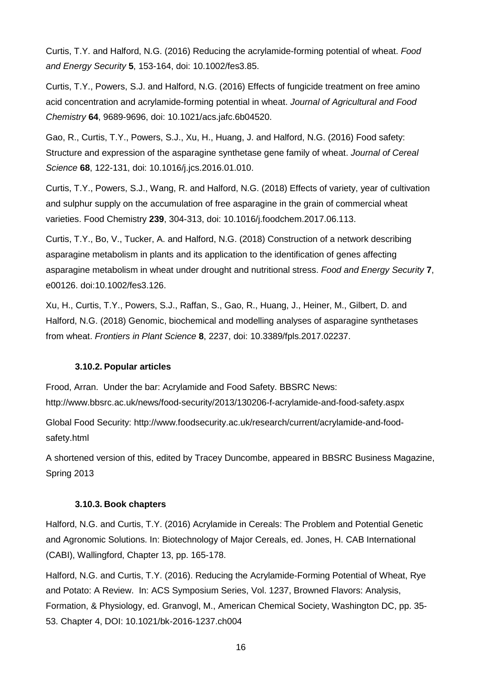Curtis, T.Y. and Halford, N.G. (2016) Reducing the acrylamide-forming potential of wheat. *Food and Energy Security* **5**, 153-164, doi: 10.1002/fes3.85.

Curtis, T.Y., Powers, S.J. and Halford, N.G. (2016) Effects of fungicide treatment on free amino acid concentration and acrylamide-forming potential in wheat. *Journal of Agricultural and Food Chemistry* **64**, 9689-9696, doi: 10.1021/acs.jafc.6b04520.

Gao, R., Curtis, T.Y., Powers, S.J., Xu, H., Huang, J. and Halford, N.G. (2016) Food safety: Structure and expression of the asparagine synthetase gene family of wheat. *Journal of Cereal Science* **68**, 122-131, doi: 10.1016/j.jcs.2016.01.010.

Curtis, T.Y., Powers, S.J., Wang, R. and Halford, N.G. (2018) Effects of variety, year of cultivation and sulphur supply on the accumulation of free asparagine in the grain of commercial wheat varieties. Food Chemistry **239**, 304-313, doi: 10.1016/j.foodchem.2017.06.113.

Curtis, T.Y., Bo, V., Tucker, A. and Halford, N.G. (2018) Construction of a network describing asparagine metabolism in plants and its application to the identification of genes affecting asparagine metabolism in wheat under drought and nutritional stress. *Food and Energy Security* **7**, e00126. doi:10.1002/fes3.126.

Xu, H., Curtis, T.Y., Powers, S.J., Raffan, S., Gao, R., Huang, J., Heiner, M., Gilbert, D. and Halford, N.G. (2018) Genomic, biochemical and modelling analyses of asparagine synthetases from wheat. *Frontiers in Plant Science* **8**, 2237, doi: 10.3389/fpls.2017.02237.

### **3.10.2. Popular articles**

Frood, Arran. Under the bar: Acrylamide and Food Safety. BBSRC News:

http://www.bbsrc.ac.uk/news/food-security/2013/130206-f-acrylamide-and-food-safety.aspx

Global Food Security: http://www.foodsecurity.ac.uk/research/current/acrylamide-and-foodsafety.html

A shortened version of this, edited by Tracey Duncombe, appeared in BBSRC Business Magazine, Spring 2013

### **3.10.3. Book chapters**

Halford, N.G. and Curtis, T.Y. (2016) Acrylamide in Cereals: The Problem and Potential Genetic and Agronomic Solutions. In: Biotechnology of Major Cereals, ed. Jones, H. CAB International (CABI), Wallingford, Chapter 13, pp. 165-178.

Halford, N.G. and Curtis, T.Y. (2016). Reducing the Acrylamide-Forming Potential of Wheat, Rye and Potato: A Review. In: ACS Symposium Series, Vol. 1237, Browned Flavors: Analysis, Formation, & Physiology, ed. Granvogl, M., American Chemical Society, Washington DC, pp. 35- 53. Chapter 4, DOI: 10.1021/bk-2016-1237.ch004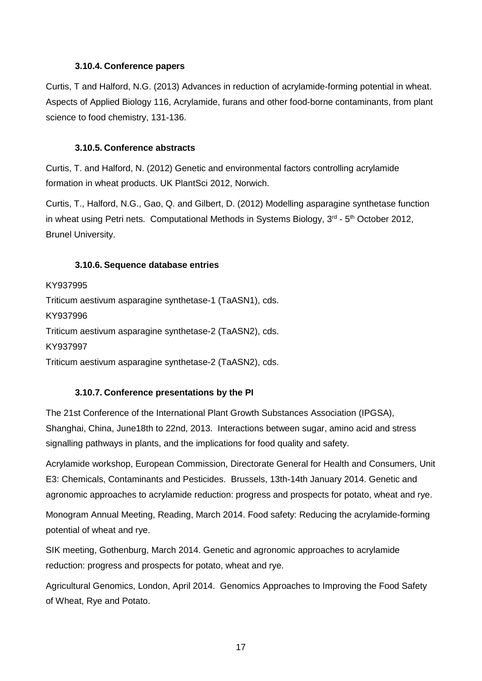### **3.10.4. Conference papers**

Curtis, T and Halford, N.G. (2013) Advances in reduction of acrylamide-forming potential in wheat. Aspects of Applied Biology 116, Acrylamide, furans and other food-borne contaminants, from plant science to food chemistry, 131-136.

### **3.10.5. Conference abstracts**

Curtis, T. and Halford, N. (2012) Genetic and environmental factors controlling acrylamide formation in wheat products. UK PlantSci 2012, Norwich.

Curtis, T., Halford, N.G., Gao, Q. and Gilbert, D. (2012) Modelling asparagine synthetase function in wheat using Petri nets. Computational Methods in Systems Biology,  $3<sup>rd</sup> - 5<sup>th</sup>$  October 2012, Brunel University.

### **3.10.6. Sequence database entries**

KY937995 Triticum aestivum asparagine synthetase-1 (TaASN1), cds. KY937996 Triticum aestivum asparagine synthetase-2 (TaASN2), cds. KY937997 Triticum aestivum asparagine synthetase-2 (TaASN2), cds.

### **3.10.7. Conference presentations by the PI**

The 21st Conference of the International Plant Growth Substances Association (IPGSA), Shanghai, China, June18th to 22nd, 2013. Interactions between sugar, amino acid and stress signalling pathways in plants, and the implications for food quality and safety.

Acrylamide workshop, European Commission, Directorate General for Health and Consumers, Unit E3: Chemicals, Contaminants and Pesticides. Brussels, 13th-14th January 2014. Genetic and agronomic approaches to acrylamide reduction: progress and prospects for potato, wheat and rye.

Monogram Annual Meeting, Reading, March 2014. Food safety: Reducing the acrylamide-forming potential of wheat and rye.

SIK meeting, Gothenburg, March 2014. Genetic and agronomic approaches to acrylamide reduction: progress and prospects for potato, wheat and rye.

Agricultural Genomics, London, April 2014. Genomics Approaches to Improving the Food Safety of Wheat, Rye and Potato.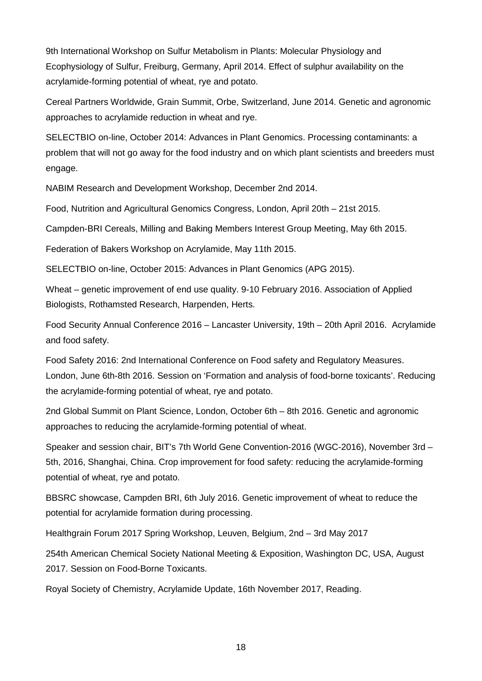9th International Workshop on Sulfur Metabolism in Plants: Molecular Physiology and Ecophysiology of Sulfur, Freiburg, Germany, April 2014. Effect of sulphur availability on the acrylamide-forming potential of wheat, rye and potato.

Cereal Partners Worldwide, Grain Summit, Orbe, Switzerland, June 2014. Genetic and agronomic approaches to acrylamide reduction in wheat and rye.

SELECTBIO on-line, October 2014: Advances in Plant Genomics. Processing contaminants: a problem that will not go away for the food industry and on which plant scientists and breeders must engage.

NABIM Research and Development Workshop, December 2nd 2014.

Food, Nutrition and Agricultural Genomics Congress, London, April 20th – 21st 2015.

Campden-BRI Cereals, Milling and Baking Members Interest Group Meeting, May 6th 2015.

Federation of Bakers Workshop on Acrylamide, May 11th 2015.

SELECTBIO on-line, October 2015: Advances in Plant Genomics (APG 2015).

Wheat – genetic improvement of end use quality. 9-10 February 2016. Association of Applied Biologists, Rothamsted Research, Harpenden, Herts.

Food Security Annual Conference 2016 – Lancaster University, 19th – 20th April 2016. Acrylamide and food safety.

Food Safety 2016: 2nd International Conference on Food safety and Regulatory Measures. London, June 6th-8th 2016. Session on 'Formation and analysis of food-borne toxicants'. Reducing the acrylamide-forming potential of wheat, rye and potato.

2nd Global Summit on Plant Science, London, October 6th – 8th 2016. Genetic and agronomic approaches to reducing the acrylamide-forming potential of wheat.

Speaker and session chair, BIT's 7th World Gene Convention-2016 (WGC-2016), November 3rd – 5th, 2016, Shanghai, China. Crop improvement for food safety: reducing the acrylamide-forming potential of wheat, rye and potato.

BBSRC showcase, Campden BRI, 6th July 2016. Genetic improvement of wheat to reduce the potential for acrylamide formation during processing.

Healthgrain Forum 2017 Spring Workshop, Leuven, Belgium, 2nd – 3rd May 2017

254th American Chemical Society National Meeting & Exposition, Washington DC, USA, August 2017. Session on Food-Borne Toxicants.

Royal Society of Chemistry, Acrylamide Update, 16th November 2017, Reading.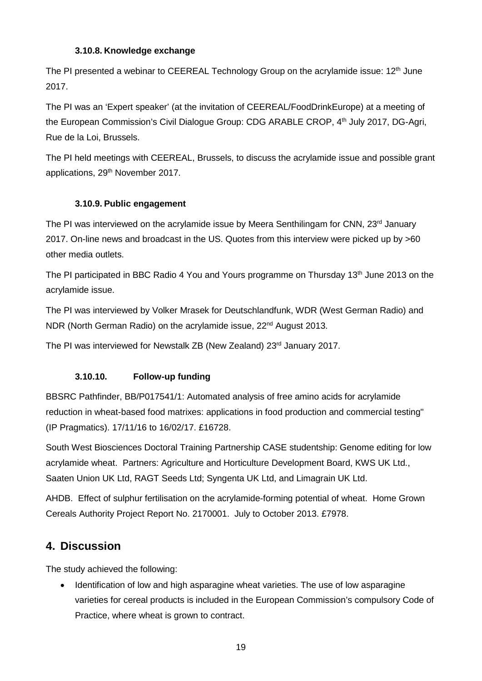### **3.10.8. Knowledge exchange**

The PI presented a webinar to CEEREAL Technology Group on the acrylamide issue:  $12<sup>th</sup>$  June 2017.

The PI was an 'Expert speaker' (at the invitation of CEEREAL/FoodDrinkEurope) at a meeting of the European Commission's Civil Dialogue Group: CDG ARABLE CROP, 4<sup>th</sup> July 2017, DG-Agri, Rue de la Loi, Brussels.

The PI held meetings with CEEREAL, Brussels, to discuss the acrylamide issue and possible grant applications, 29<sup>th</sup> November 2017.

### **3.10.9. Public engagement**

The PI was interviewed on the acrylamide issue by Meera Senthilingam for CNN, 23<sup>rd</sup> January 2017. On-line news and broadcast in the US. Quotes from this interview were picked up by >60 other media outlets.

The PI participated in BBC Radio 4 You and Yours programme on Thursday 13<sup>th</sup> June 2013 on the acrylamide issue.

The PI was interviewed by Volker Mrasek for Deutschlandfunk, WDR (West German Radio) and NDR (North German Radio) on the acrylamide issue, 22<sup>nd</sup> August 2013.

The PI was interviewed for Newstalk ZB (New Zealand) 23<sup>rd</sup> January 2017.

### **3.10.10. Follow-up funding**

BBSRC Pathfinder, BB/P017541/1: Automated analysis of free amino acids for acrylamide reduction in wheat-based food matrixes: applications in food production and commercial testing" (IP Pragmatics). 17/11/16 to 16/02/17. £16728.

South West Biosciences Doctoral Training Partnership CASE studentship: Genome editing for low acrylamide wheat. Partners: Agriculture and Horticulture Development Board, KWS UK Ltd., Saaten Union UK Ltd, RAGT Seeds Ltd; Syngenta UK Ltd, and Limagrain UK Ltd.

AHDB. Effect of sulphur fertilisation on the acrylamide-forming potential of wheat. Home Grown Cereals Authority Project Report No. 2170001. July to October 2013. £7978.

### **4. Discussion**

The study achieved the following:

• Identification of low and high asparagine wheat varieties. The use of low asparagine varieties for cereal products is included in the European Commission's compulsory Code of Practice, where wheat is grown to contract.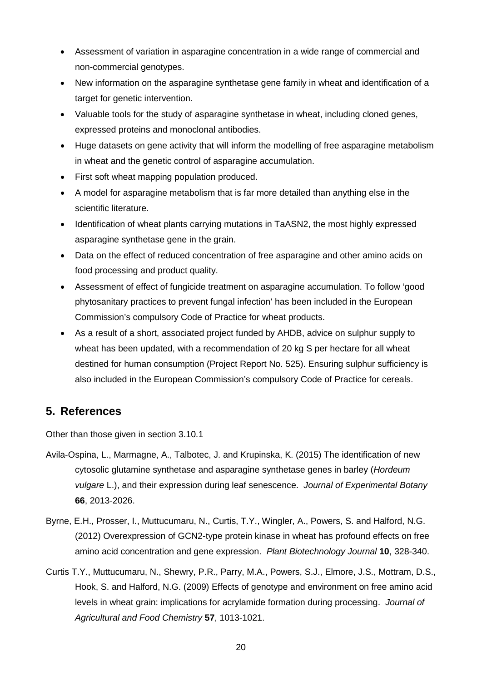- Assessment of variation in asparagine concentration in a wide range of commercial and non-commercial genotypes.
- New information on the asparagine synthetase gene family in wheat and identification of a target for genetic intervention.
- Valuable tools for the study of asparagine synthetase in wheat, including cloned genes, expressed proteins and monoclonal antibodies.
- Huge datasets on gene activity that will inform the modelling of free asparagine metabolism in wheat and the genetic control of asparagine accumulation.
- First soft wheat mapping population produced.
- A model for asparagine metabolism that is far more detailed than anything else in the scientific literature.
- Identification of wheat plants carrying mutations in TaASN2, the most highly expressed asparagine synthetase gene in the grain.
- Data on the effect of reduced concentration of free asparagine and other amino acids on food processing and product quality.
- Assessment of effect of fungicide treatment on asparagine accumulation. To follow 'good phytosanitary practices to prevent fungal infection' has been included in the European Commission's compulsory Code of Practice for wheat products.
- As a result of a short, associated project funded by AHDB, advice on sulphur supply to wheat has been updated, with a recommendation of 20 kg S per hectare for all wheat destined for human consumption (Project Report No. 525). Ensuring sulphur sufficiency is also included in the European Commission's compulsory Code of Practice for cereals.

### **5. References**

Other than those given in section 3.10.1

- Avila-Ospina, L., Marmagne, A., Talbotec, J. and Krupinska, K. (2015) The identification of new cytosolic glutamine synthetase and asparagine synthetase genes in barley (*Hordeum vulgare* L.), and their expression during leaf senescence. *Journal of Experimental Botany* **66**, 2013-2026.
- Byrne, E.H., Prosser, I., Muttucumaru, N., Curtis, T.Y., Wingler, A., Powers, S. and Halford, N.G. (2012) Overexpression of GCN2-type protein kinase in wheat has profound effects on free amino acid concentration and gene expression. *Plant Biotechnology Journal* **10**, 328-340.
- Curtis T.Y., Muttucumaru, N., Shewry, P.R., Parry, M.A., Powers, S.J., Elmore, J.S., Mottram, D.S., Hook, S. and Halford, N.G. (2009) Effects of genotype and environment on free amino acid levels in wheat grain: implications for acrylamide formation during processing. *Journal of Agricultural and Food Chemistry* **57**, 1013-1021.